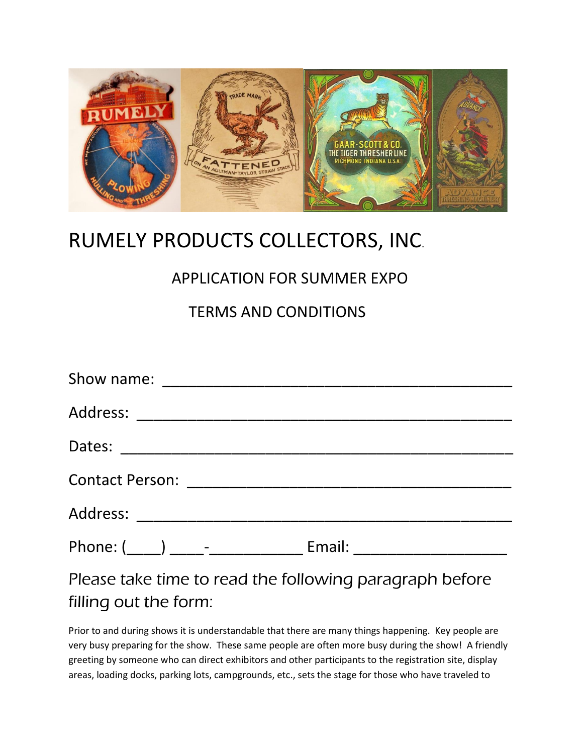

# RUMELY PRODUCTS COLLECTORS, INC.

## APPLICATION FOR SUMMER EXPO

### TERMS AND CONDITIONS

| Phone: (_____) _____- __________________ Email: ________________________________ |
|----------------------------------------------------------------------------------|
| Please take time to read the following paragraph before                          |

filling out the form: Prior to and during shows it is understandable that there are many things happening. Key people are

very busy preparing for the show. These same people are often more busy during the show! A friendly greeting by someone who can direct exhibitors and other participants to the registration site, display areas, loading docks, parking lots, campgrounds, etc., sets the stage for those who have traveled to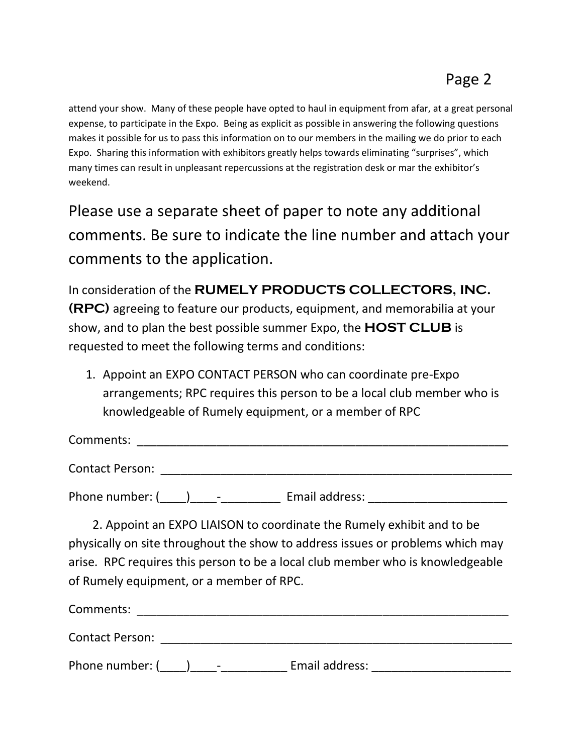attend your show. Many of these people have opted to haul in equipment from afar, at a great personal expense, to participate in the Expo. Being as explicit as possible in answering the following questions makes it possible for us to pass this information on to our members in the mailing we do prior to each Expo. Sharing this information with exhibitors greatly helps towards eliminating "surprises", which many times can result in unpleasant repercussions at the registration desk or mar the exhibitor's weekend.

Please use a separate sheet of paper to note any additional comments. Be sure to indicate the line number and attach your comments to the application.

In consideration of the **RUMELY PRODUCTS COLLECTORS, INC. (RPC)** agreeing to feature our products, equipment, and memorabilia at your show, and to plan the best possible summer Expo, the **HOST CLUB** is requested to meet the following terms and conditions:

1. Appoint an EXPO CONTACT PERSON who can coordinate pre-Expo arrangements; RPC requires this person to be a local club member who is knowledgeable of Rumely equipment, or a member of RPC

Comments: \_\_\_\_\_\_\_\_\_\_\_\_\_\_\_\_\_\_\_\_\_\_\_\_\_\_\_\_\_\_\_\_\_\_\_\_\_\_\_\_\_\_\_\_\_\_\_\_\_\_\_\_\_\_\_\_

Contact Person: **Example 2018** 

Phone number: ( \_\_\_\_) \_\_\_\_\_\_\_\_\_\_\_\_\_\_\_\_ Email address: \_\_\_\_\_\_\_\_\_\_\_\_\_\_\_\_\_\_\_\_\_\_\_\_\_\_

 2. Appoint an EXPO LIAISON to coordinate the Rumely exhibit and to be physically on site throughout the show to address issues or problems which may arise. RPC requires this person to be a local club member who is knowledgeable of Rumely equipment, or a member of RPC.

Comments: \_\_\_\_\_\_\_\_\_\_\_\_\_\_\_\_\_\_\_\_\_\_\_\_\_\_\_\_\_\_\_\_\_\_\_\_\_\_\_\_\_\_\_\_\_\_\_\_\_\_\_\_\_\_\_\_

Contact Person: \_\_\_\_\_\_\_\_\_\_\_\_\_\_\_\_\_\_\_\_\_\_\_\_\_\_\_\_\_\_\_\_\_\_\_\_\_\_\_\_\_\_\_\_\_\_\_\_\_\_\_\_\_

Phone number: (\_\_\_\_)\_\_\_\_-\_\_\_\_\_\_\_\_\_\_ Email address: \_\_\_\_\_\_\_\_\_\_\_\_\_\_\_\_\_\_\_\_\_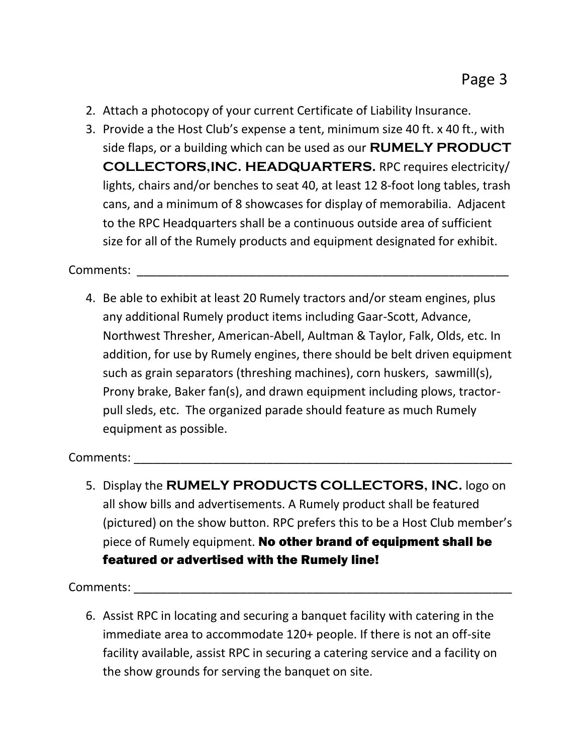- 2. Attach a photocopy of your current Certificate of Liability Insurance.
- 3. Provide a the Host Club's expense a tent, minimum size 40 ft. x 40 ft., with side flaps, or a building which can be used as our **RUMELY PRODUCT COLLECTORS,INC. HEADQUARTERS.** RPC requires electricity/ lights, chairs and/or benches to seat 40, at least 12 8-foot long tables, trash cans, and a minimum of 8 showcases for display of memorabilia. Adjacent to the RPC Headquarters shall be a continuous outside area of sufficient size for all of the Rumely products and equipment designated for exhibit.

#### Comments: \_\_\_\_\_\_\_\_\_\_\_\_\_\_\_\_\_\_\_\_\_\_\_\_\_\_\_\_\_\_\_\_\_\_\_\_\_\_\_\_\_\_\_\_\_\_\_\_\_\_\_\_\_\_\_\_

4. Be able to exhibit at least 20 Rumely tractors and/or steam engines, plus any additional Rumely product items including Gaar-Scott, Advance, Northwest Thresher, American-Abell, Aultman & Taylor, Falk, Olds, etc. In addition, for use by Rumely engines, there should be belt driven equipment such as grain separators (threshing machines), corn huskers, sawmill(s), Prony brake, Baker fan(s), and drawn equipment including plows, tractorpull sleds, etc. The organized parade should feature as much Rumely equipment as possible.

#### Comments:

5. Display the **RUMELY PRODUCTS COLLECTORS, INC.** logo on all show bills and advertisements. A Rumely product shall be featured (pictured) on the show button. RPC prefers this to be a Host Club member's piece of Rumely equipment. No other brand of equipment shall be featured or advertised with the Rumely line!

Comments: \_\_\_\_\_\_\_\_\_\_\_\_\_\_\_\_\_\_\_\_\_\_\_\_\_\_\_\_\_\_\_\_\_\_\_\_\_\_\_\_\_\_\_\_\_\_\_\_\_\_\_\_\_\_\_\_\_

6. Assist RPC in locating and securing a banquet facility with catering in the immediate area to accommodate 120+ people. If there is not an off-site facility available, assist RPC in securing a catering service and a facility on the show grounds for serving the banquet on site.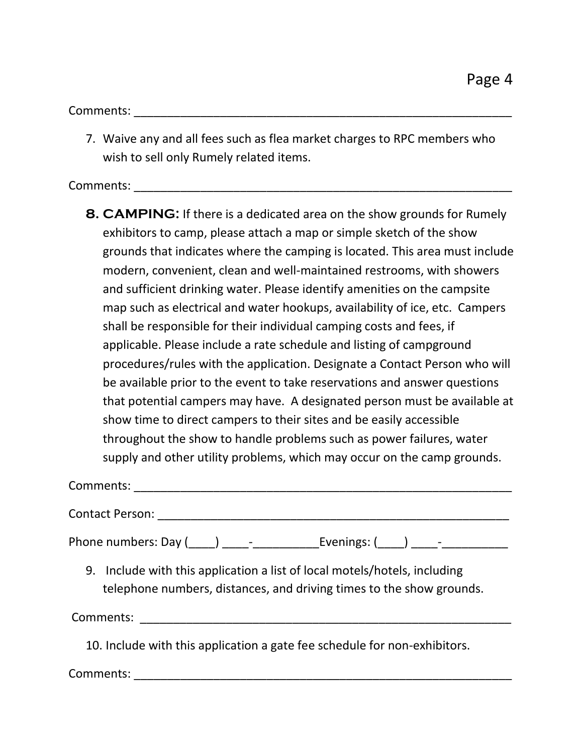Comments:  $\blacksquare$ 

7. Waive any and all fees such as flea market charges to RPC members who wish to sell only Rumely related items.

Comments: \_\_\_\_\_\_\_\_\_\_\_\_\_\_\_\_\_\_\_\_\_\_\_\_\_\_\_\_\_\_\_\_\_\_\_\_\_\_\_\_\_\_\_\_\_\_\_\_\_\_\_\_\_\_\_\_\_

**8. CAMPING:** If there is a dedicated area on the show grounds for Rumely exhibitors to camp, please attach a map or simple sketch of the show grounds that indicates where the camping is located. This area must include modern, convenient, clean and well-maintained restrooms, with showers and sufficient drinking water. Please identify amenities on the campsite map such as electrical and water hookups, availability of ice, etc. Campers shall be responsible for their individual camping costs and fees, if applicable. Please include a rate schedule and listing of campground procedures/rules with the application. Designate a Contact Person who will be available prior to the event to take reservations and answer questions that potential campers may have. A designated person must be available at show time to direct campers to their sites and be easily accessible throughout the show to handle problems such as power failures, water supply and other utility problems, which may occur on the camp grounds.

Comments: \_\_\_\_\_\_\_\_\_\_\_\_\_\_\_\_\_\_\_\_\_\_\_\_\_\_\_\_\_\_\_\_\_\_\_\_\_\_\_\_\_\_\_\_\_\_\_\_\_\_\_\_\_\_\_\_\_

Contact Person: \_\_\_\_\_\_\_\_\_\_\_\_\_\_\_\_\_\_\_\_\_\_\_\_\_\_\_\_\_\_\_\_\_\_\_\_\_\_\_\_\_\_\_\_\_\_\_\_\_\_\_\_\_

Phone numbers: Day  $(\_\_\_\_) \_\_\_\_$ - $\_\_\_\_$ Evenings:  $(\_\_\_\_) \_\_\_\_$ -

9. Include with this application a list of local motels/hotels, including telephone numbers, distances, and driving times to the show grounds.

Comments: \_\_\_\_\_\_\_\_\_\_\_\_\_\_\_\_\_\_\_\_\_\_\_\_\_\_\_\_\_\_\_\_\_\_\_\_\_\_\_\_\_\_\_\_\_\_\_\_\_\_\_\_\_\_\_\_

10. Include with this application a gate fee schedule for non-exhibitors.

Comments: \_\_\_\_\_\_\_\_\_\_\_\_\_\_\_\_\_\_\_\_\_\_\_\_\_\_\_\_\_\_\_\_\_\_\_\_\_\_\_\_\_\_\_\_\_\_\_\_\_\_\_\_\_\_\_\_\_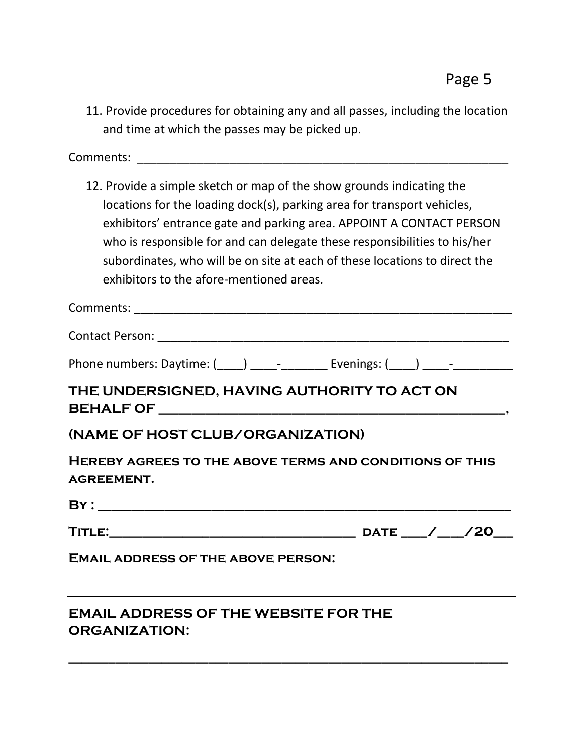11. Provide procedures for obtaining any and all passes, including the location and time at which the passes may be picked up.

Comments:

12. Provide a simple sketch or map of the show grounds indicating the locations for the loading dock(s), parking area for transport vehicles, exhibitors' entrance gate and parking area. APPOINT A CONTACT PERSON who is responsible for and can delegate these responsibilities to his/her subordinates, who will be on site at each of these locations to direct the exhibitors to the afore-mentioned areas.

| THE UNDERSIGNED, HAVING AUTHORITY TO ACT ON                                  |
|------------------------------------------------------------------------------|
| (NAME OF HOST CLUB/ORGANIZATION)                                             |
| HEREBY AGREES TO THE ABOVE TERMS AND CONDITIONS OF THIS<br><b>AGREEMENT.</b> |
|                                                                              |
|                                                                              |
| <b>EMAIL ADDRESS OF THE ABOVE PERSON:</b>                                    |

### **EMAIL ADDRESS OF THE WEBSITE FOR THE ORGANIZATION:**